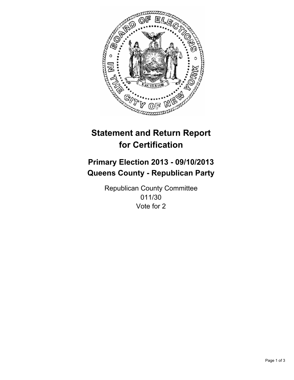

# **Statement and Return Report for Certification**

# **Primary Election 2013 - 09/10/2013 Queens County - Republican Party**

Republican County Committee 011/30 Vote for 2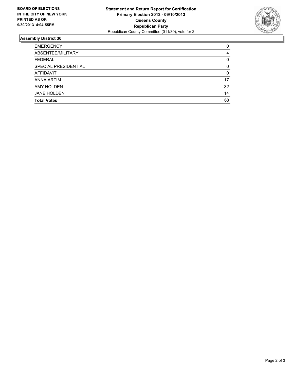

## **Assembly District 30**

| <b>EMERGENCY</b>     | 0  |
|----------------------|----|
| ABSENTEE/MILITARY    | 4  |
| <b>FEDERAL</b>       | 0  |
| SPECIAL PRESIDENTIAL | 0  |
| <b>AFFIDAVIT</b>     | 0  |
| ANNA ARTIM           | 17 |
| <b>AMY HOLDEN</b>    | 32 |
| <b>JANE HOLDEN</b>   | 14 |
| <b>Total Votes</b>   | 63 |